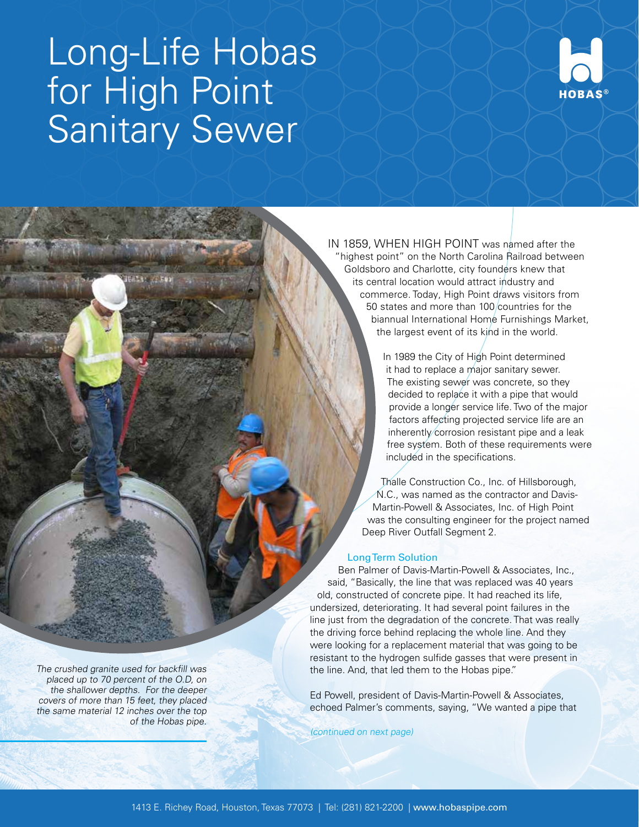# Long-Life Hobas for High Point Sanitary Sewer



 IN 1859, WHEN HIGH POINT was named after the "highest point" on the North Carolina Railroad between Goldsboro and Charlotte, city founders knew that its central location would attract industry and commerce. Today, High Point draws visitors from 50 states and more than 100 countries for the biannual International Home Furnishings Market, the largest event of its kind in the world.

> In 1989 the City of High Point determined it had to replace a major sanitary sewer. The existing sewer was concrete, so they decided to replace it with a pipe that would provide a longer service life. Two of the major factors affecting projected service life are an inherently corrosion resistant pipe and a leak free system. Both of these requirements were included in the specifications.

Thalle Construction Co., Inc. of Hillsborough, N.C., was named as the contractor and Davis-Martin-Powell & Associates, Inc. of High Point was the consulting engineer for the project named Deep River Outfall Segment 2.

## Long Term Solution

Ben Palmer of Davis-Martin-Powell & Associates, Inc., said, "Basically, the line that was replaced was 40 years old, constructed of concrete pipe. It had reached its life, undersized, deteriorating. It had several point failures in the line just from the degradation of the concrete. That was really the driving force behind replacing the whole line. And they were looking for a replacement material that was going to be resistant to the hydrogen sulfide gasses that were present in the line. And, that led them to the Hobas pipe."

Ed Powell, president of Davis-Martin-Powell & Associates, echoed Palmer's comments, saying, "We wanted a pipe that

(continued on next page)

The crushed granite used for backfill was placed up to 70 percent of the O.D, on the shallower depths. For the deeper covers of more than 15 feet, they placed the same material 12 inches over the top of the Hobas pipe.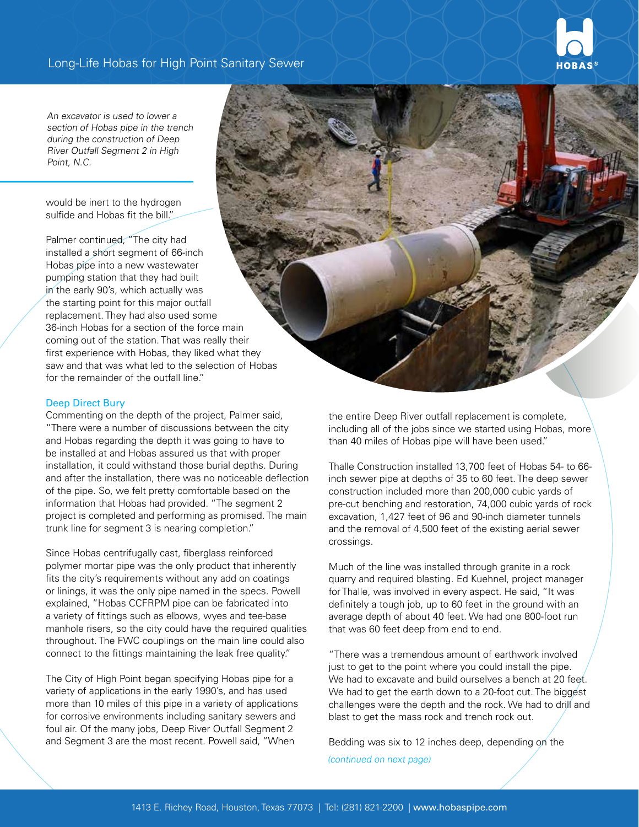

An excavator is used to lower a section of Hobas pipe in the trench during the construction of Deep River Outfall Segment 2 in High Point, N.C.

would be inert to the hydrogen sulfide and Hobas fit the bill."

Palmer continued, "The city had installed a short segment of 66-inch Hobas pipe into a new wastewater pumping station that they had built in the early 90's, which actually was the starting point for this major outfall replacement. They had also used some 36-inch Hobas for a section of the force main coming out of the station. That was really their first experience with Hobas, they liked what they saw and that was what led to the selection of Hobas for the remainder of the outfall line."

#### Deep Direct Bury

Commenting on the depth of the project, Palmer said, "There were a number of discussions between the city and Hobas regarding the depth it was going to have to be installed at and Hobas assured us that with proper installation, it could withstand those burial depths. During and after the installation, there was no noticeable deflection of the pipe. So, we felt pretty comfortable based on the information that Hobas had provided. "The segment 2 project is completed and performing as promised. The main trunk line for segment 3 is nearing completion."

Since Hobas centrifugally cast, fiberglass reinforced polymer mortar pipe was the only product that inherently fits the city's requirements without any add on coatings or linings, it was the only pipe named in the specs. Powell explained, "Hobas CCFRPM pipe can be fabricated into a variety of fittings such as elbows, wyes and tee-base manhole risers, so the city could have the required qualities throughout. The FWC couplings on the main line could also connect to the fittings maintaining the leak free quality."

The City of High Point began specifying Hobas pipe for a variety of applications in the early 1990's, and has used more than 10 miles of this pipe in a variety of applications for corrosive environments including sanitary sewers and foul air. Of the many jobs, Deep River Outfall Segment 2 and Segment 3 are the most recent. Powell said, "When



the entire Deep River outfall replacement is complete, including all of the jobs since we started using Hobas, more than 40 miles of Hobas pipe will have been used."

Thalle Construction installed 13,700 feet of Hobas 54- to 66 inch sewer pipe at depths of 35 to 60 feet. The deep sewer construction included more than 200,000 cubic yards of pre-cut benching and restoration, 74,000 cubic yards of rock excavation, 1,427 feet of 96 and 90-inch diameter tunnels and the removal of 4,500 feet of the existing aerial sewer crossings.

Much of the line was installed through granite in a rock quarry and required blasting. Ed Kuehnel, project manager for Thalle, was involved in every aspect. He said, "It was definitely a tough job, up to 60 feet in the ground with an average depth of about 40 feet. We had one 800-foot run that was 60 feet deep from end to end.

"There was a tremendous amount of earthwork involved just to get to the point where you could install the pipe. We had to excavate and build ourselves a bench at 20 feet. We had to get the earth down to a 20-foot cut. The biggest challenges were the depth and the rock. We had to drill and blast to get the mass rock and trench rock out.

Bedding was six to 12 inches deep, depending on the (continued on next page)